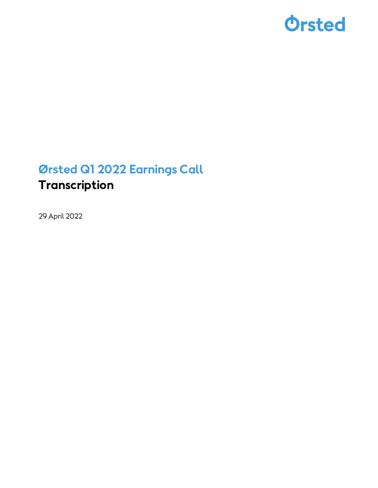

### Ørsted Q1 2022 Earnings Call Transcription

29 April 2022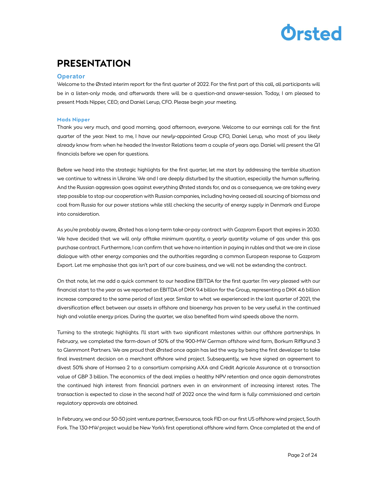### PRESENTATION

#### **Operator**

Welcome to the Ørsted interim report for the first quarter of 2022. For the first part of this call, all participants will be in a listen-only mode, and afterwards there will be a question-and answer-session. Today, I am pleased to present Mads Nipper, CEO; and Daniel Lerup, CFO. Please begin your meeting.

#### Mads Nipper

Thank you very much, and good morning, good afternoon, everyone. Welcome to our earnings call for the first quarter of the year. Next to me, I have our newly-appointed Group CFO, Daniel Lerup, who most of you likely already know from when he headed the Investor Relations team a couple of years ago. Daniel will present the Q1 financials before we open for questions.

Before we head into the strategic highlights for the first quarter, let me start by addressing the terrible situation we continue to witness in Ukraine. We and I are deeply disturbed by the situation, especially the human suffering. And the Russian aggression goes against everything Ørsted stands for, and as a consequence, we are taking every step possible to stop our cooperation with Russian companies, including having ceased all sourcing of biomass and coal from Russia for our power stations while still checking the security of energy supply in Denmark and Europe into consideration.

As you're probably aware, Ørsted has a long-term take-or-pay contract with Gazprom Export that expires in 2030. We have decided that we will only offtake minimum quantity, a yearly quantity volume of gas under this gas purchase contract. Furthermore, I can confirm that we have no intention in paying in rubles and that we are in close dialogue with other energy companies and the authorities regarding a common European response to Gazprom Export. Let me emphasise that gas isn't part of our core business, and we will not be extending the contract.

On that note, let me add a quick comment to our headline EBITDA for the first quarter. I'm very pleased with our financial start to the year as we reported an EBITDA of DKK 9.4 billion for the Group, representing a DKK 4.6 billion increase compared to the same period of last year. Similar to what we experienced in the last quarter of 2021, the diversification effect between our assets in offshore and bioenergy has proven to be very useful in the continued high and volatile energy prices. During the quarter, we also benefited from wind speeds above the norm.

Turning to the strategic highlights. I'll start with two significant milestones within our offshore partnerships. In February, we completed the farm-down of 50% of the 900-MW German offshore wind farm, Borkum Riffgrund 3 to Glennmont Partners. We are proud that Ørsted once again has led the way by being the first developer to take final investment decision on a merchant offshore wind project. Subsequently, we have signed an agreement to divest 50% share of Hornsea 2 to a consortium comprising AXA and Crédit Agricole Assurance at a transaction value of GBP 3 billion. The economics of the deal implies a healthy NPV retention and once again demonstrates the continued high interest from financial partners even in an environment of increasing interest rates. The transaction is expected to close in the second half of 2022 once the wind farm is fully commissioned and certain regulatory approvals are obtained.

In February, we and our 50-50 joint venture partner, Eversource, took FID on our first US offshore wind project, South Fork. The 130-MW project would be New York's first operational offshore wind farm. Once completed at the end of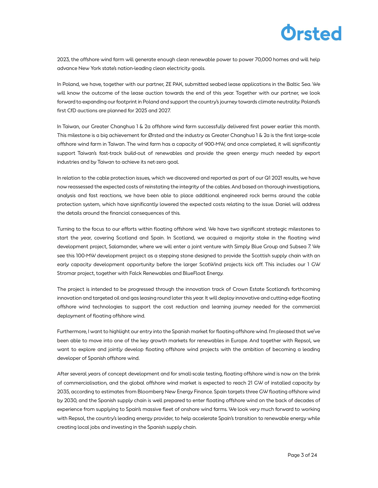

2023, the offshore wind farm will generate enough clean renewable power to power 70,000 homes and will help advance New York state's nation-leading clean electricity goals.

In Poland, we have, together with our partner, ZE PAK, submitted seabed lease applications in the Baltic Sea. We will know the outcome of the lease auction towards the end of this year. Together with our partner, we look forward to expanding our footprint in Poland and support the country's journey towards climate neutrality. Poland's first CfD auctions are planned for 2025 and 2027.

In Taiwan, our Greater Changhua 1 & 2a offshore wind farm successfully delivered first power earlier this month. This milestone is a big achievement for Ørsted and the industry as Greater Changhua 1 & 2a is the first large-scale offshore wind farm in Taiwan. The wind farm has a capacity of 900-MW, and once completed, it will significantly support Taiwan's fast-track build-out of renewables and provide the green energy much needed by export industries and by Taiwan to achieve its net-zero goal.

In relation to the cable protection issues, which we discovered and reported as part of our Q1 2021 results, we have now reassessed the expected costs of reinstating the integrity of the cables. And based on thorough investigations, analysis and fast reactions, we have been able to place additional engineered rock berms around the cable protection system, which have significantly lowered the expected costs relating to the issue. Daniel will address the details around the financial consequences of this.

Turning to the focus to our efforts within floating offshore wind. We have two significant strategic milestones to start the year, covering Scotland and Spain. In Scotland, we acquired a majority stake in the floating wind development project, Salamander, where we will enter a joint venture with Simply Blue Group and Subsea 7. We see this 100-MW development project as a stepping stone designed to provide the Scottish supply chain with an early capacity development opportunity before the larger ScotWind projects kick off. This includes our 1 GW Stromar project, together with Falck Renewables and BlueFloat Energy.

The project is intended to be progressed through the innovation track of Crown Estate Scotland's forthcoming innovation and targeted oil and gas leasing round later this year. It will deploy innovative and cutting-edge floating offshore wind technologies to support the cost reduction and learning journey needed for the commercial deployment of floating offshore wind.

Furthermore, I want to highlight our entry into the Spanish market for floating offshore wind. I'm pleased that we've been able to move into one of the key growth markets for renewables in Europe. And together with Repsol, we want to explore and jointly develop floating offshore wind projects with the ambition of becoming a leading developer of Spanish offshore wind.

After several years of concept development and for small-scale testing, floating offshore wind is now on the brink of commercialisation, and the global offshore wind market is expected to reach 21 GW of installed capacity by 2035, according to estimates from Bloomberg New Energy Finance. Spain targets three GW floating offshore wind by 2030, and the Spanish supply chain is well prepared to enter floating offshore wind on the back of decades of experience from supplying to Spain's massive fleet of onshore wind farms. We look very much forward to working with Repsol, the country's leading energy provider, to help accelerate Spain's transition to renewable energy while creating local jobs and investing in the Spanish supply chain.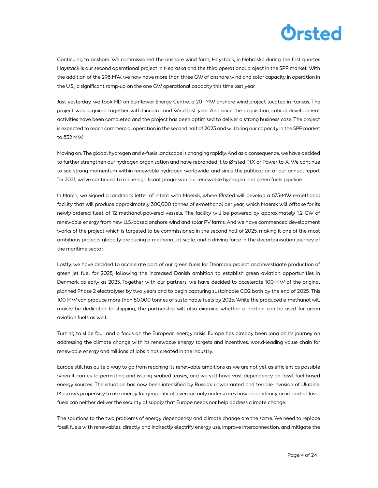Continuing to onshore. We commissioned the onshore wind farm, Haystack, in Nebraska during the first quarter. Haystack is our second operational project in Nebraska and the third operational project in the SPP market. With the addition of the 298 MW, we now have more than three GW of onshore wind and solar capacity in operation in the U.S., a significant ramp-up on the one GW operational capacity this time last year.

Just yesterday, we took FID on Sunflower Energy Centre, a 201-MW onshore wind project located in Kansas. The project was acquired together with Lincoln Land Wind last year. And since the acquisition, critical development activities have been completed and the project has been optimised to deliver a strong business case. The project is expected to reach commercial operation in the second half of 2023 and will bring our capacity in the SPP market to 832 MW.

Moving on. The global hydrogen and e-fuels landscape is changing rapidly. And as a consequence, we have decided to further strengthen our hydrogen organisation and have rebranded it to Ørsted PtX or Power-to-X. We continue to see strong momentum within renewable hydrogen worldwide, and since the publication of our annual report for 2021, we've continued to make significant progress in our renewable hydrogen and green fuels pipeline.

In March, we signed a landmark letter of intent with Maersk, where Ørsted will develop a 675-MW e-methanol facility that will produce approximately 300,000 tonnes of e-methanol per year, which Maersk will offtake for its newly-ordered fleet of 12 methanol-powered vessels. The facility will be powered by approximately 1.2 GW of renewable energy from new U.S.-based onshore wind and solar PV farms. And we have commenced development works of the project which is targeted to be commissioned in the second half of 2025, making it one of the most ambitious projects globally producing e-methanol at scale, and a driving force in the decarbonisation journey of the maritime sector.

Lastly, we have decided to accelerate part of our green fuels for Denmark project and investigate production of green jet fuel for 2025, following the increased Danish ambition to establish green aviation opportunities in Denmark as early as 2025. Together with our partners, we have decided to accelerate 100-MW of the original planned Phase 2 electrolyser by two years and to begin capturing sustainable CO2 both by the end of 2025. This 100-MW can produce more than 50,000 tonnes of sustainable fuels by 2025. While the produced e-methanol will mainly be dedicated to shipping, the partnership will also examine whether a portion can be used for green aviation fuels as well.

Turning to slide four and a focus on the European energy crisis. Europe has already been long on its journey on addressing the climate change with its renewable energy targets and incentives, world-leading value chain for renewable energy and millions of jobs it has created in the industry.

Europe still has quite a way to go from reaching its renewable ambitions as we are not yet as efficient as possible when it comes to permitting and issuing seabed leases, and we still have vast dependency on fossil fuel-based energy sources. The situation has now been intensified by Russia's unwarranted and terrible invasion of Ukraine. Moscow's propensity to use energy for geopolitical leverage only underscores how dependency on imported fossil fuels can neither deliver the security of supply that Europe needs nor help address climate change.

The solutions to the two problems of energy dependency and climate change are the same. We need to replace fossil fuels with renewables, directly and indirectly electrify energy use, improve interconnection, and mitigate the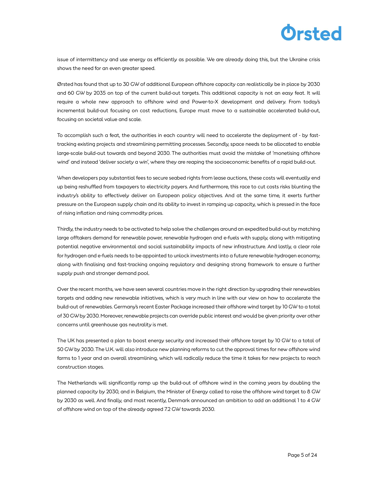

issue of intermittency and use energy as efficiently as possible. We are already doing this, but the Ukraine crisis shows the need for an even greater speed.

Ørsted has found that up to 30 GW of additional European offshore capacity can realistically be in place by 2030 and 60 GW by 2035 on top of the current build-out targets. This additional capacity is not an easy feat. It will require a whole new approach to offshore wind and Power-to-X development and delivery. From today's incremental build-out focusing on cost reductions, Europe must move to a sustainable accelerated build-out, focusing on societal value and scale.

To accomplish such a feat, the authorities in each country will need to accelerate the deployment of - by fasttracking existing projects and streamlining permitting processes. Secondly, space needs to be allocated to enable large-scale build-out towards and beyond 2030. The authorities must avoid the mistake of 'monetising offshore wind' and instead 'deliver society a win', where they are reaping the socioeconomic benefits of a rapid build-out.

When developers pay substantial fees to secure seabed rights from lease auctions, these costs will eventually end up being reshuffled from taxpayers to electricity payers. And furthermore, this race to cut costs risks blunting the industry's ability to effectively deliver on European policy objectives. And at the same time, it exerts further pressure on the European supply chain and its ability to invest in ramping up capacity, which is pressed in the face of rising inflation and rising commodity prices.

Thirdly, the industry needs to be activated to help solve the challenges around an expedited build-out by matching large offtakers demand for renewable power, renewable hydrogen and e-fuels with supply, along with mitigating potential negative environmental and social sustainability impacts of new infrastructure. And lastly, a clear role for hydrogen and e-fuels needs to be appointed to unlock investments into a future renewable hydrogen economy, along with finalising and fast-tracking ongoing regulatory and designing strong framework to ensure a further supply push and stronger demand pool.

Over the recent months, we have seen several countries move in the right direction by upgrading their renewables targets and adding new renewable initiatives, which is very much in line with our view on how to accelerate the build-out of renewables. Germany's recent Easter Package increased their offshore wind target by 10 GW to a total of 30 GW by 2030. Moreover, renewable projects can override public interest and would be given priority over other concerns until greenhouse gas neutrality is met.

The UK has presented a plan to boost energy security and increased their offshore target by 10 GW to a total of 50 GW by 2030. The U.K. will also introduce new planning reforms to cut the approval times for new offshore wind farms to 1 year and an overall streamlining, which will radically reduce the time it takes for new projects to reach construction stages.

The Netherlands will significantly ramp up the build-out of offshore wind in the coming years by doubling the planned capacity by 2030, and in Belgium, the Minister of Energy called to raise the offshore wind target to 8 GW by 2030 as well. And finally, and most recently, Denmark announced an ambition to add an additional 1 to 4 GW of offshore wind on top of the already agreed 7.2 GW towards 2030.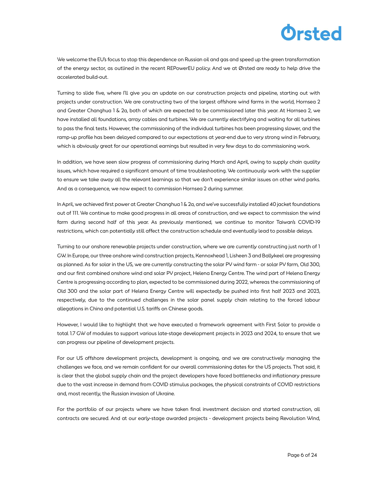We welcome the EU's focus to stop this dependence on Russian oil and gas and speed up the green transformation of the energy sector, as outlined in the recent REPowerEU policy. And we at Ørsted are ready to help drive the accelerated build-out.

Turning to slide five, where I'll give you an update on our construction projects and pipeline, starting out with projects under construction. We are constructing two of the largest offshore wind farms in the world, Hornsea 2 and Greater Changhua 1 & 2a, both of which are expected to be commissioned later this year. At Hornsea 2, we have installed all foundations, array cables and turbines. We are currently electrifying and waiting for all turbines to pass the final tests. However, the commissioning of the individual turbines has been progressing slower, and the ramp-up profile has been delayed compared to our expectations at year-end due to very strong wind in February, which is obviously great for our operational earnings but resulted in very few days to do commissioning work.

In addition, we have seen slow progress of commissioning during March and April, owing to supply chain quality issues, which have required a significant amount of time troubleshooting. We continuously work with the supplier to ensure we take away all the relevant learnings so that we don't experience similar issues on other wind parks. And as a consequence, we now expect to commission Hornsea 2 during summer.

In April, we achieved first power at Greater Changhua 1 & 2a, and we've successfully installed 40 jacket foundations out of 111. We continue to make good progress in all areas of construction, and we expect to commission the wind farm during second half of this year. As previously mentioned, we continue to monitor Taiwan's COVID-19 restrictions, which can potentially still affect the construction schedule and eventually lead to possible delays.

Turning to our onshore renewable projects under construction, where we are currently constructing just north of 1 GW. In Europe, our three onshore wind construction projects, Kennoxhead 1, Lisheen 3 and Ballykeel are progressing as planned. As for solar in the US, we are currently constructing the solar PV wind farm - or solar PV farm, Old 300, and our first combined onshore wind and solar PV project, Helena Energy Centre. The wind part of Helena Energy Centre is progressing according to plan, expected to be commissioned during 2022, whereas the commissioning of Old 300 and the solar part of Helena Energy Centre will expectedly be pushed into first half 2023 and 2023, respectively, due to the continued challenges in the solar panel supply chain relating to the forced labour allegations in China and potential U.S. tariffs on Chinese goods.

However, I would like to highlight that we have executed a framework agreement with First Solar to provide a total 1.7 GW of modules to support various late-stage development projects in 2023 and 2024, to ensure that we can progress our pipeline of development projects.

For our US offshore development projects, development is ongoing, and we are constructively managing the challenges we face, and we remain confident for our overall commissioning dates for the US projects. That said, it is clear that the global supply chain and the project developers have faced bottlenecks and inflationary pressure due to the vast increase in demand from COVID stimulus packages, the physical constraints of COVID restrictions and, most recently, the Russian invasion of Ukraine.

For the portfolio of our projects where we have taken final investment decision and started construction, all contracts are secured. And at our early-stage awarded projects - development projects being Revolution Wind,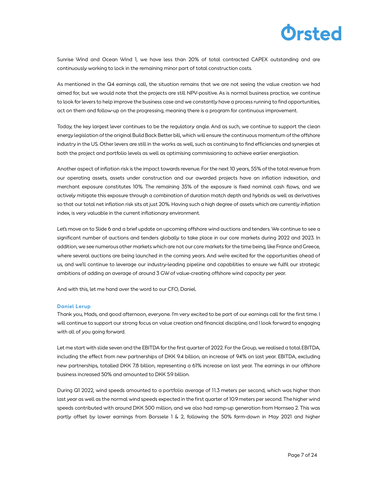

Sunrise Wind and Ocean Wind 1, we have less than 20% of total contracted CAPEX outstanding and are continuously working to lock in the remaining minor part of total construction costs.

As mentioned in the Q4 earnings call, the situation remains that we are not seeing the value creation we had aimed for, but we would note that the projects are still NPV-positive. As is normal business practice, we continue to look for levers to help improve the business case and we constantly have a process running to find opportunities, act on them and follow-up on the progressing, meaning there is a program for continuous improvement.

Today, the key largest lever continues to be the regulatory angle. And as such, we continue to support the clean energy legislation of the original Build Back Better bill, which will ensure the continuous momentum of the offshore industry in the US. Other levers are still in the works as well, such as continuing to find efficiencies and synergies at both the project and portfolio levels as well as optimising commissioning to achieve earlier energisation.

Another aspect of inflation risk is the impact towards revenue. For the next 10 years, 55% of the total revenue from our operating assets, assets under construction and our awarded projects have an inflation indexation, and merchant exposure constitutes 10%. The remaining 35% of the exposure is fixed nominal cash flows, and we actively mitigate this exposure through a combination of duration match depth and hybrids as well as derivatives so that our total net inflation risk sits at just 20%. Having such a high degree of assets which are currently inflation index, is very valuable in the current inflationary environment.

Let's move on to Slide 6 and a brief update on upcoming offshore wind auctions and tenders. We continue to see a significant number of auctions and tenders globally to take place in our core markets during 2022 and 2023. In addition, we see numerous other markets which are not our core markets for the time being, like France and Greece, where several auctions are being launched in the coming years. And we're excited for the opportunities ahead of us, and we'll continue to leverage our industry-leading pipeline and capabilities to ensure we fulfil our strategic ambitions of adding an average of around 3 GW of value-creating offshore wind capacity per year.

And with this, let me hand over the word to our CFO, Daniel.

#### Daniel Lerup

Thank you, Mads, and good afternoon, everyone. I'm very excited to be part of our earnings call for the first time. I will continue to support our strong focus on value creation and financial discipline, and I look forward to engaging with all of you going forward.

Let me start with slide seven and the EBITDA for the first quarter of 2022. For the Group, we realised a total EBITDA, including the effect from new partnerships of DKK 9.4 billion, an increase of 94% on last year. EBITDA, excluding new partnerships, totalled DKK 7.8 billion, representing a 61% increase on last year. The earnings in our offshore business increased 50% and amounted to DKK 5.9 billion.

During Q1 2022, wind speeds amounted to a portfolio average of 11.3 meters per second, which was higher than last year as well as the normal wind speeds expected in the first quarter of 10.9 meters per second. The higher wind speeds contributed with around DKK 500 million, and we also had ramp-up generation from Hornsea 2. This was partly offset by lower earnings from Borssele 1 & 2, following the 50% farm-down in May 2021 and higher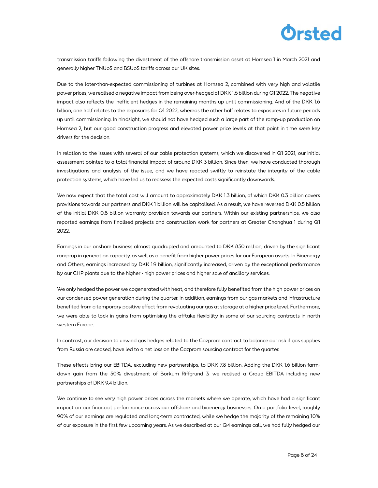

transmission tariffs following the divestment of the offshore transmission asset at Hornsea 1 in March 2021 and generally higher TNUoS and BSUoS tariffs across our UK sites.

Due to the later-than-expected commissioning of turbines at Hornsea 2, combined with very high and volatile power prices, we realised a negative impact from being over-hedged of DKK 1.6 billion during Q1 2022. The negative impact also reflects the inefficient hedges in the remaining months up until commissioning. And of the DKK 1.6 billion, one half relates to the exposures for Q1 2022, whereas the other half relates to exposures in future periods up until commissioning. In hindsight, we should not have hedged such a large part of the ramp-up production on Hornsea 2, but our good construction progress and elevated power price levels at that point in time were key drivers for the decision.

In relation to the issues with several of our cable protection systems, which we discovered in Q1 2021, our initial assessment pointed to a total financial impact of around DKK 3 billion. Since then, we have conducted thorough investigations and analysis of the issue, and we have reacted swiftly to reinstate the integrity of the cable protection systems, which have led us to reassess the expected costs significantly downwards.

We now expect that the total cost will amount to approximately DKK 1.3 billion, of which DKK 0.3 billion covers provisions towards our partners and DKK 1 billion will be capitalised. As a result, we have reversed DKK 0.5 billion of the initial DKK 0.8 billion warranty provision towards our partners. Within our existing partnerships, we also reported earnings from finalised projects and construction work for partners at Greater Changhua 1 during Q1 2022.

Earnings in our onshore business almost quadrupled and amounted to DKK 850 million, driven by the significant ramp-up in generation capacity, as well as a benefit from higher power prices for our European assets. In Bioenergy and Others, earnings increased by DKK 1.9 billion, significantly increased, driven by the exceptional performance by our CHP plants due to the higher - high power prices and higher sale of ancillary services.

We only hedged the power we cogenerated with heat, and therefore fully benefited from the high power prices on our condensed power generation during the quarter. In addition, earnings from our gas markets and infrastructure benefited from a temporary positive effect from revaluating our gas at storage at a higher price level. Furthermore, we were able to lock in gains from optimising the offtake flexibility in some of our sourcing contracts in north western Europe.

In contrast, our decision to unwind gas hedges related to the Gazprom contract to balance our risk if gas supplies from Russia are ceased, have led to a net loss on the Gazprom sourcing contract for the quarter.

These effects bring our EBITDA, excluding new partnerships, to DKK 7.8 billion. Adding the DKK 1.6 billion farmdown gain from the 50% divestment of Borkum Riffgrund 3, we realised a Group EBITDA including new partnerships of DKK 9.4 billion.

We continue to see very high power prices across the markets where we operate, which have had a significant impact on our financial performance across our offshore and bioenergy businesses. On a portfolio level, roughly 90% of our earnings are regulated and long-term contracted, while we hedge the majority of the remaining 10% of our exposure in the first few upcoming years. As we described at our Q4 earnings call, we had fully hedged our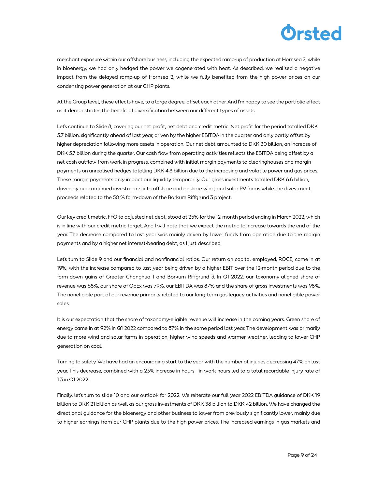merchant exposure within our offshore business, including the expected ramp-up of production at Hornsea 2, while in bioenergy, we had only hedged the power we cogenerated with heat. As described, we realised a negative impact from the delayed ramp-up of Hornsea 2, while we fully benefited from the high power prices on our condensing power generation at our CHP plants.

At the Group level, these effects have, to a large degree, offset each other. And I'm happy to see the portfolio effect as it demonstrates the benefit of diversification between our different types of assets.

Let's continue to Slide 8, covering our net profit, net debt and credit metric. Net profit for the period totalled DKK 5.7 billion, significantly ahead of last year, driven by the higher EBITDA in the quarter and only partly offset by higher depreciation following more assets in operation. Our net debt amounted to DKK 30 billion, an increase of DKK 5.7 billion during the quarter. Our cash flow from operating activities reflects the EBITDA being offset by a net cash outflow from work in progress, combined with initial margin payments to clearinghouses and margin payments on unrealised hedges totalling DKK 4.8 billion due to the increasing and volatile power and gas prices. These margin payments only impact our liquidity temporarily. Our gross investments totalled DKK 6.8 billion, driven by our continued investments into offshore and onshore wind, and solar PV farms while the divestment proceeds related to the 50 % farm-down of the Borkum Riffgrund 3 project.

Our key credit metric, FFO to adjusted net debt, stood at 25% for the 12-month period ending in March 2022, which is in line with our credit metric target. And I will note that we expect the metric to increase towards the end of the year. The decrease compared to last year was mainly driven by lower funds from operation due to the margin payments and by a higher net interest-bearing debt, as I just described.

Let's turn to Slide 9 and our financial and nonfinancial ratios. Our return on capital employed, ROCE, came in at 19%, with the increase compared to last year being driven by a higher EBIT over the 12-month period due to the farm-down gains of Greater Changhua 1 and Borkum Riffgrund 3. In Q1 2022, our taxonomy-aligned share of revenue was 68%, our share of OpEx was 79%, our EBITDA was 87% and the share of gross investments was 98%. The noneligible part of our revenue primarily related to our long-term gas legacy activities and noneligible power sales.

It is our expectation that the share of taxonomy-eligible revenue will increase in the coming years. Green share of energy came in at 92% in Q1 2022 compared to 87% in the same period last year. The development was primarily due to more wind and solar farms in operation, higher wind speeds and warmer weather, leading to lower CHP generation on coal.

Turning to safety. We have had an encouraging start to the year with the number of injuries decreasing 47% on last year. This decrease, combined with a 23% increase in hours - in work hours led to a total recordable injury rate of 1.3 in Q1 2022.

Finally, let's turn to slide 10 and our outlook for 2022. We reiterate our full year 2022 EBITDA guidance of DKK 19 billion to DKK 21 billion as well as our gross investments of DKK 38 billion to DKK 42 billion. We have changed the directional guidance for the bioenergy and other business to lower from previously significantly lower, mainly due to higher earnings from our CHP plants due to the high power prices. The increased earnings in gas markets and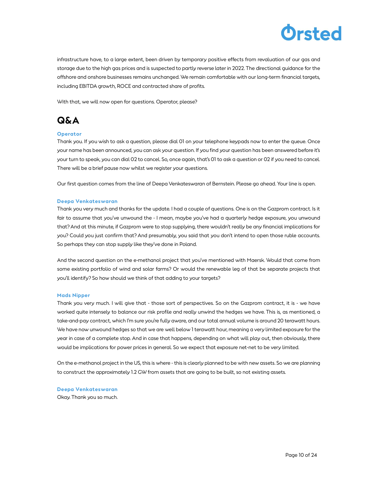

infrastructure have, to a large extent, been driven by temporary positive effects from revaluation of our gas and storage due to the high gas prices and is suspected to partly reverse later in 2022. The directional guidance for the offshore and onshore businesses remains unchanged. We remain comfortable with our long-term financial targets, including EBITDA growth, ROCE and contracted share of profits.

With that, we will now open for questions. Operator, please?

### Q&A

#### **Operator**

Thank you. If you wish to ask a question, please dial 01 on your telephone keypads now to enter the queue. Once your name has been announced, you can ask your question. If you find your question has been answered before it's your turn to speak, you can dial 02 to cancel. So, once again, that's 01 to ask a question or 02 if you need to cancel. There will be a brief pause now whilst we register your questions.

Our first question comes from the line of Deepa Venkateswaran of Bernstein. Please go ahead. Your line is open.

#### Deepa Venkateswaran

Thank you very much and thanks for the update. I had a couple of questions. One is on the Gazprom contract. Is it fair to assume that you've unwound the - I mean, maybe you've had a quarterly hedge exposure, you unwound that? And at this minute, if Gazprom were to stop supplying, there wouldn't really be any financial implications for you? Could you just confirm that? And presumably, you said that you don't intend to open those ruble accounts. So perhaps they can stop supply like they've done in Poland.

And the second question on the e-methanol project that you've mentioned with Maersk. Would that come from some existing portfolio of wind and solar farms? Or would the renewable leg of that be separate projects that you'll identify? So how should we think of that adding to your targets?

#### Mads Nipper

Thank you very much. I will give that - those sort of perspectives. So on the Gazprom contract, it is - we have worked quite intensely to balance our risk profile and really unwind the hedges we have. This is, as mentioned, a take-and-pay contract, which I'm sure you're fully aware, and our total annual volume is around 20 terawatt hours. We have now unwound hedges so that we are well below 1 terawatt hour, meaning a very limited exposure for the year in case of a complete stop. And in case that happens, depending on what will play out, then obviously, there would be implications for power prices in general. So we expect that exposure net-net to be very limited.

On the e-methanol project in the US, this is where - this is clearly planned to be with new assets. So we are planning to construct the approximately 1.2 GW from assets that are going to be built, so not existing assets.

Deepa Venkateswaran Okay. Thank you so much.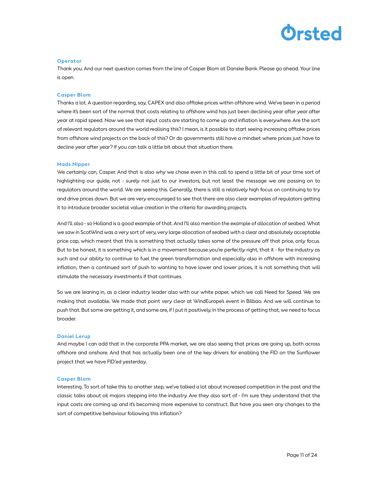#### **Operator**

Thank you. And our next question comes from the line of Casper Blom at Danske Bank. Please go ahead. Your line is open.

#### Casper Blom

Thanks a lot. A question regarding, say, CAPEX and also offtake prices within offshore wind. We've been in a period where it's been sort of the normal that costs relating to offshore wind has just been declining year after year after year at rapid speed. Now we see that input costs are starting to come up and inflation is everywhere. Are the sort of relevant regulators around the world realising this? I mean, is it possible to start seeing increasing offtake prices from offshore wind projects on the back of this? Or do governments still have a mindset where prices just have to decline year after year? If you can talk a little bit about that situation there.

#### Mads Nipper

We certainly can, Casper. And that is also why we chose even in this call to spend a little bit of your time sort of highlighting our guide, not - surely not just to our investors, but not least the message we are passing on to regulators around the world. We are seeing this. Generally, there is still a relatively high focus on continuing to try and drive prices down. But we are very encouraged to see that there are also clear examples of regulators getting it to introduce broader societal value creation in the criteria for awarding projects.

And I'll also - so Holland is a good example of that. And I'll also mention the example of allocation of seabed. What we saw in ScotWind was a very sort of very, very large allocation of seabed with a clear and absolutely acceptable price cap, which meant that this is something that actually takes some of the pressure off that price, only focus. But to be honest, it is something which is in a movement because you're perfectly right, that it - for the industry as such and our ability to continue to fuel the green transformation and especially also in offshore with increasing inflation, then a continued sort of push to wanting to have lower and lower prices, it is not something that will stimulate the necessary investments if that continues.

So we are leaning in, as a clear industry leader also with our white paper, which we call Need for Speed. We are making that available. We made that point very clear at WindEurope's event in Bilbao. And we will continue to push that. But some are getting it, and some are, if I put it positively, in the process of getting that, we need to focus broader.

#### Daniel Lerup

And maybe I can add that in the corporate PPA market, we are also seeing that prices are going up, both across offshore and onshore. And that has actually been one of the key drivers for enabling the FID on the Sunflower project that we have FID'ed yesterday.

#### Casper Blom

Interesting. To sort of take this to another step, we've talked a lot about increased competition in the past and the classic talks about oil majors stepping into the industry. Are they also sort of - I'm sure they understand that the input costs are coming up and it's becoming more expensive to construct. But have you seen any changes to the sort of competitive behaviour following this inflation?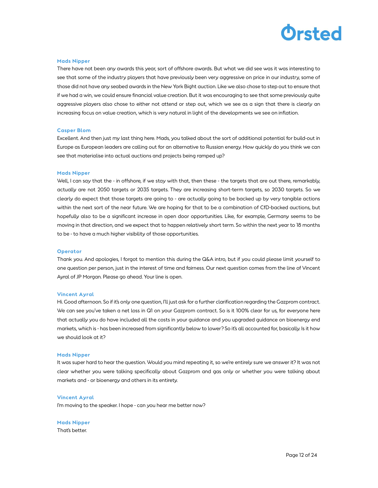

#### Mads Nipper

There have not been any awards this year, sort of offshore awards. But what we did see was it was interesting to see that some of the industry players that have previously been very aggressive on price in our industry, some of those did not have any seabed awards in the New York Bight auction. Like we also chose to step out to ensure that if we had a win, we could ensure financial value creation. But it was encouraging to see that some previously quite aggressive players also chose to either not attend or step out, which we see as a sign that there is clearly an increasing focus on value creation, which is very natural in light of the developments we see on inflation.

#### Casper Blom

Excellent. And then just my last thing here. Mads, you talked about the sort of additional potential for build-out in Europe as European leaders are calling out for an alternative to Russian energy. How quickly do you think we can see that materialise into actual auctions and projects being ramped up?

#### Mads Nipper

Well, I can say that the - in offshore, if we stay with that, then these - the targets that are out there, remarkably, actually are not 2050 targets or 2035 targets. They are increasing short-term targets, so 2030 targets. So we clearly do expect that those targets are going to - are actually going to be backed up by very tangible actions within the next sort of the near future. We are hoping for that to be a combination of CfD-backed auctions, but hopefully also to be a significant increase in open door opportunities. Like, for example, Germany seems to be moving in that direction, and we expect that to happen relatively short term. So within the next year to 18 months to be - to have a much higher visibility of those opportunities.

#### **Operator**

Thank you. And apologies, I forgot to mention this during the Q&A intro, but if you could please limit yourself to one question per person, just in the interest of time and fairness. Our next question comes from the line of Vincent Ayral of JP Morgan. Please go ahead. Your line is open.

#### Vincent Ayral

Hi. Good afternoon. So if it's only one question, I'll just ask for a further clarification regarding the Gazprom contract. We can see you've taken a net loss in Q1 on your Gazprom contract. So is it 100% clear for us, for everyone here that actually you do have included all the costs in your guidance and you upgraded guidance on bioenergy end markets, which is - has been increased from significantly below to lower? So it's all accounted for, basically. Is it how we should look at it?

#### Mads Nipper

It was super hard to hear the question. Would you mind repeating it, so we're entirely sure we answer it? It was not clear whether you were talking specifically about Gazprom and gas only or whether you were talking about markets and - or bioenergy and others in its entirety.

#### Vincent Ayral

I'm moving to the speaker. I hope - can you hear me better now?

Mads Nipper That's better.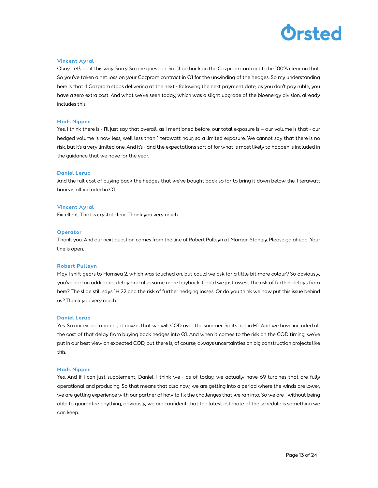

#### Vincent Ayral

Okay. Let's do it this way. Sorry. So one question. So I'll go back on the Gazprom contract to be 100% clear on that. So you've taken a net loss on your Gazprom contract in Q1 for the unwinding of the hedges. So my understanding here is that if Gazprom stops delivering at the next - following the next payment date, as you don't pay ruble, you have a zero extra cost. And what we've seen today, which was a slight upgrade of the bioenergy division, already includes this.

#### Mads Nipper

Yes. I think there is - I'll just say that overall, as I mentioned before, our total exposure is – our volume is that - our hedged volume is now less, well less than 1 terawatt hour, so a limited exposure. We cannot say that there is no risk, but it's a very limited one. And it's - and the expectations sort of for what is most likely to happen is included in the guidance that we have for the year.

#### Daniel Lerup

And the full cost of buying back the hedges that we've bought back so far to bring it down below the 1 terawatt hours is all included in Q1.

#### Vincent Ayral

Excellent. That is crystal clear. Thank you very much.

#### **Operator**

Thank you. And our next question comes from the line of Robert Pulleyn at Morgan Stanley. Please go ahead. Your line is open.

#### Robert Pulleyn

May I shift gears to Hornsea 2, which was touched on, but could we ask for a little bit more colour? So obviously, you've had an additional delay and also some more buyback. Could we just assess the risk of further delays from here? The slide still says 1H 22 and the risk of further hedging losses. Or do you think we now put this issue behind us? Thank you very much.

#### Daniel Lerup

Yes. So our expectation right now is that we will COD over the summer. So it's not in H1. And we have included all the cost of that delay from buying back hedges into Q1. And when it comes to the risk on the COD timing, we've put in our best view on expected COD, but there is, of course, always uncertainties on big construction projects like this.

#### Mads Nipper

Yes. And if I can just supplement, Daniel. I think we - as of today, we actually have 69 turbines that are fully operational and producing. So that means that also now, we are getting into a period where the winds are lower, we are getting experience with our partner of how to fix the challenges that we ran into. So we are - without being able to guarantee anything, obviously, we are confident that the latest estimate of the schedule is something we can keep.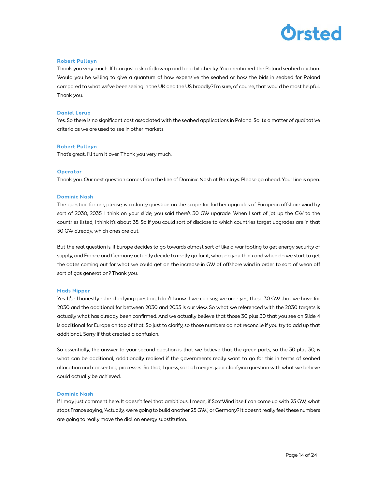

#### Robert Pulleyn

Thank you very much. If I can just ask a follow-up and be a bit cheeky. You mentioned the Poland seabed auction. Would you be willing to give a quantum of how expensive the seabed or how the bids in seabed for Poland compared to what we've been seeing in the UK and the US broadly? I'm sure, of course, that would be most helpful. Thank you.

#### Daniel Lerup

Yes. So there is no significant cost associated with the seabed applications in Poland. So it's a matter of qualitative criteria as we are used to see in other markets.

#### Robert Pulleyn

That's great. I'll turn it over. Thank you very much.

#### **Operator**

Thank you. Our next question comes from the line of Dominic Nash at Barclays. Please go ahead. Your line is open.

#### Dominic Nash

The question for me, please, is a clarity question on the scope for further upgrades of European offshore wind by sort of 2030, 2035. I think on your slide, you said there's 30 GW upgrade. When I sort of jot up the GW to the countries listed, I think it's about 35. So if you could sort of disclose to which countries target upgrades are in that 30 GW already, which ones are out.

But the real question is, if Europe decides to go towards almost sort of like a war footing to get energy security of supply, and France and Germany actually decide to really go for it, what do you think and when do we start to get the dates coming out for what we could get on the increase in GW of offshore wind in order to sort of wean off sort of gas generation? Thank you.

#### Mads Nipper

Yes. It's - I honestly - the clarifying question, I don't know if we can say, we are - yes, these 30 GW that we have for 2030 and the additional for between 2030 and 2035 is our view. So what we referenced with the 2030 targets is actually what has already been confirmed. And we actually believe that those 30 plus 30 that you see on Slide 4 is additional for Europe on top of that. So just to clarify, so those numbers do not reconcile if you try to add up that additional. Sorry if that created a confusion.

So essentially, the answer to your second question is that we believe that the green parts, so the 30 plus 30, is what can be additional, additionally realised if the governments really want to go for this in terms of seabed allocation and consenting processes. So that, I guess, sort of merges your clarifying question with what we believe could actually be achieved.

#### Dominic Nash

If I may just comment here. It doesn't feel that ambitious. I mean, if ScotWind itself can come up with 25 GW, what stops France saying, 'Actually, we're going to build another 25 GW.', or Germany? It doesn't really feel these numbers are going to really move the dial on energy substitution.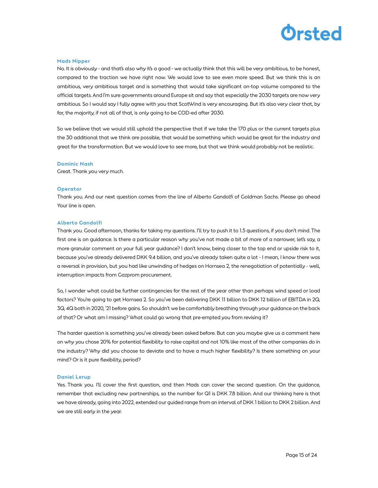

#### Mads Nipper

No. It is obviously - and that's also why it's a good - we actually think that this will be very ambitious, to be honest, compared to the traction we have right now. We would love to see even more speed. But we think this is an ambitious, very ambitious target and is something that would take significant on-top volume compared to the official targets. And I'm sure governments around Europe sit and say that especially the 2030 targets are now very ambitious. So I would say I fully agree with you that ScotWind is very encouraging. But it's also very clear that, by far, the majority, if not all of that, is only going to be COD-ed after 2030.

So we believe that we would still uphold the perspective that if we take the 170 plus or the current targets plus the 30 additional that we think are possible, that would be something which would be great for the industry and great for the transformation. But we would love to see more, but that we think would probably not be realistic.

#### Dominic Nash

Great. Thank you very much.

#### **Operator**

Thank you. And our next question comes from the line of Alberto Gandolfi of Goldman Sachs. Please go ahead Your line is open.

#### Alberto Gandolfi

Thank you. Good afternoon, thanks for taking my questions. I'll try to push it to 1.5 questions, if you don't mind. The first one is on guidance. Is there a particular reason why you've not made a bit of more of a narrower, let's say, a more granular comment on your full year guidance? I don't know, being closer to the top end or upside risk to it, because you've already delivered DKK 9.4 billion, and you've already taken quite a lot - I mean, I know there was a reversal in provision, but you had like unwinding of hedges on Hornsea 2, the renegotiation of potentially - well, interruption impacts from Gazprom procurement.

So, I wonder what could be further contingencies for the rest of the year other than perhaps wind speed or load factors? You're going to get Hornsea 2. So you've been delivering DKK 11 billion to DKK 12 billion of EBITDA in 2Q, 3Q, 4Q both in 2020, '21 before gains. So shouldn't we be comfortably breathing through your guidance on the back of that? Or what am I missing? What could go wrong that pre-empted you from revising it?

The harder question is something you've already been asked before. But can you maybe give us a comment here on why you chose 20% for potential flexibility to raise capital and not 10% like most of the other companies do in the industry? Why did you choose to deviate and to have a much higher flexibility? Is there something on your mind? Or is it pure flexibility, period?

#### Daniel Lerup

Yes. Thank you. I'll cover the first question, and then Mads can cover the second question. On the guidance, remember that excluding new partnerships, so the number for Q1 is DKK 7.8 billion. And our thinking here is that we have already, going into 2022, extended our guided range from an interval of DKK 1 billion to DKK 2 billion. And we are still early in the year.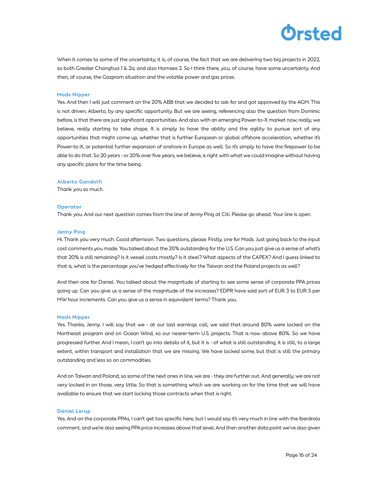When it comes to some of the uncertainty, it is, of course, the fact that we are delivering two big projects in 2022, so both Greater Changhua 1 & 2a, and also Hornsea 2. So I think there, you, of course, have some uncertainty. And then, of course, the Gazprom situation and the volatile power and gas prices.

#### Mads Nipper

Yes. And then I will just comment on the 20% ABB that we decided to ask for and got approved by the AGM. This is not driven, Alberto, by any specific opportunity. But we are seeing, referencing also the question from Dominic before, is that there are just significant opportunities. And also with an emerging Power-to-X market now, really, we believe, really starting to take shape. It is simply to have the ability and the agility to pursue sort of any opportunities that might come up, whether that is further European or global offshore acceleration, whether it's Power-to-X, or potential further expansion of onshore in Europe as well. So it's simply to have the firepower to be able to do that. So 20 years - or 20% over five years, we believe, is right with what we could imagine without having any specific plans for the time being.

#### Alberto Gandolfi

Thank you so much.

#### **Operator**

Thank you. And our next question comes from the line of Jenny Ping at Citi. Please go ahead. Your line is open.

#### Jenny Ping

Hi. Thank you very much. Good afternoon. Two questions, please. Firstly, one for Mads. Just going back to the input cost comments you made. You talked about the 20% outstanding for the U.S. Can you just give us a sense of what's that 20% is still remaining? Is it vessel costs mostly? Is it steel? What aspects of the CAPEX? And I guess linked to that is, what is the percentage you've hedged effectively for the Taiwan and the Poland projects as well?

And then one for Daniel. You talked about the magnitude of starting to see some sense of corporate PPA prices going up. Can you give us a sense of the magnitude of the increases? EDPR have said sort of EUR 3 to EUR 5 per MW hour increments. Can you give us a sense in equivalent terms? Thank you.

#### Mads Nipper

Yes. Thanks, Jenny. I will say that we - at our last earnings call, we said that around 80% were locked on the Northeast program and on Ocean Wind, so our nearer-term U.S. projects. That is now above 80%. So we have progressed further. And I mean, I can't go into details of it, but it is - of what is still outstanding, it is still, to a large extent, within transport and installation that we are missing. We have locked some, but that is still the primary outstanding and less so on commodities.

And on Taiwan and Poland, so some of the next ones in line, we are - they are further out. And generally, we are not very locked in on those, very little. So that is something which we are working on for the time that we will have available to ensure that we start locking those contracts when that is right.

#### Daniel Lerup

Yes. And on the corporate PPAs, I can't get too specific here, but I would say it's very much in line with the Iberdrola comment, and we're also seeing PPA price increases above that level. And then another data point we've also given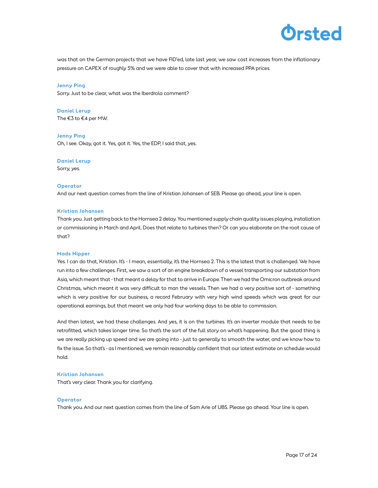

was that on the German projects that we have FID'ed, late last year, we saw cost increases from the inflationary pressure on CAPEX of roughly 5% and we were able to cover that with increased PPA prices.

Jenny Ping

Sorry. Just to be clear, what was the Iberdrola comment?

Daniel Lerup The €3 to €4 per MW.

Jenny Ping Oh, I see. Okay, got it. Yes, got it. Yes, the EDP, I said that, yes.

#### Daniel Lerup

Sorry, yes.

#### **Operator**

And our next question comes from the line of Kristian Johansen of SEB. Please go ahead, your line is open.

#### Kristian Johansen

Thank you. Just getting back to the Hornsea 2 delay. You mentioned supply chain quality issues playing, installation or commissioning in March and April. Does that relate to turbines then? Or can you elaborate on the root cause of that?

#### Mads Nipper

Yes. I can do that, Kristian. It's - I mean, essentially, it's the Hornsea 2. This is the latest that is challenged. We have run into a few challenges. First, we saw a sort of an engine breakdown of a vessel transporting our substation from Asia, which meant that - that meant a delay for that to arrive in Europe. Then we had the Omicron outbreak around Christmas, which meant it was very difficult to man the vessels. Then we had a very positive sort of - something which is very positive for our business, a record February with very high wind speeds which was great for our operational earnings, but that meant we only had four working days to be able to commission.

And then latest, we had these challenges. And yes, it is on the turbines. It's an inverter module that needs to be retrofitted, which takes longer time. So that's the sort of the full story on what's happening. But the good thing is we are really picking up speed and we are going into - just to generally to smooth the water, and we know how to fix the issue. So that's - as I mentioned, we remain reasonably confident that our latest estimate on schedule would hold.

#### Kristian Johansen

That's very clear. Thank you for clarifying.

#### **Operator**

Thank you. And our next question comes from the line of Sam Arie of UBS. Please go ahead. Your line is open.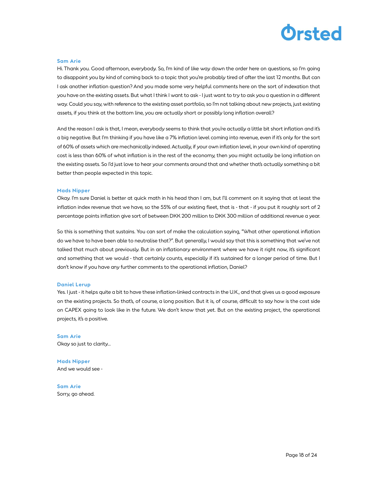

#### Sam Arie

Hi. Thank you. Good afternoon, everybody. So, I'm kind of like way down the order here on questions, so I'm going to disappoint you by kind of coming back to a topic that you're probably tired of after the last 12 months. But can I ask another inflation question? And you made some very helpful comments here on the sort of indexation that you have on the existing assets. But what I think I want to ask - I just want to try to ask you a question in a different way. Could you say, with reference to the existing asset portfolio, so I'm not talking about new projects, just existing assets, if you think at the bottom line, you are actually short or possibly long inflation overall?

And the reason I ask is that, I mean, everybody seems to think that you're actually a little bit short inflation and it's a big negative. But I'm thinking if you have like a 7% inflation level coming into revenue, even if it's only for the sort of 60% of assets which are mechanically indexed. Actually, if your own inflation level, in your own kind of operating cost is less than 60% of what inflation is in the rest of the economy, then you might actually be long inflation on the existing assets. So I'd just love to hear your comments around that and whether that's actually something a bit better than people expected in this topic.

#### Mads Nipper

Okay. I'm sure Daniel is better at quick math in his head than I am, but I'll comment on it saying that at least the inflation index revenue that we have, so the 55% of our existing fleet, that is - that - if you put it roughly sort of 2 percentage points inflation give sort of between DKK 200 million to DKK 300 million of additional revenue a year.

So this is something that sustains. You can sort of make the calculation saying, "What other operational inflation do we have to have been able to neutralise that?". But generally, I would say that this is something that we've not talked that much about previously. But in an inflationary environment where we have it right now, it's significant and something that we would - that certainly counts, especially if it's sustained for a longer period of time. But I don't know if you have any further comments to the operational inflation, Daniel?

#### Daniel Lerup

Yes. I just - it helps quite a bit to have these inflation-linked contracts in the U.K., and that gives us a good exposure on the existing projects. So that's, of course, a long position. But it is, of course, difficult to say how is the cost side on CAPEX going to look like in the future. We don't know that yet. But on the existing project, the operational projects, it's a positive.

Sam Arie Okay so just to clarity…

Mads Nipper And we would see -

Sam Arie Sorry, go ahead.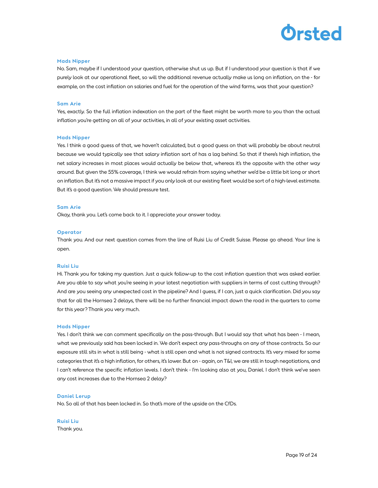

#### Mads Nipper

No. Sam, maybe if I understood your question, otherwise shut us up. But if I understood your question is that if we purely look at our operational fleet, so will the additional revenue actually make us long on inflation, on the - for example, on the cost inflation on salaries and fuel for the operation of the wind farms, was that your question?

#### Sam Arie

Yes, exactly. So the full inflation indexation on the part of the fleet might be worth more to you than the actual inflation you're getting on all of your activities, in all of your existing asset activities.

#### Mads Nipper

Yes. I think a good guess of that, we haven't calculated, but a good guess on that will probably be about neutral because we would typically see that salary inflation sort of has a lag behind. So that if there's high inflation, the net salary increases in most places would actually be below that, whereas it's the opposite with the other way around. But given the 55% coverage, I think we would refrain from saying whether we'd be a little bit long or short on inflation. But it's not a massive impact if you only look at our existing fleet would be sort of a high-level estimate. But it's a good question. We should pressure test.

#### Sam Arie

Okay, thank you. Let's come back to it. I appreciate your answer today.

#### **Operator**

Thank you. And our next question comes from the line of Ruisi Liu of Credit Suisse. Please go ahead. Your line is open.

#### Ruisi Liu

Hi. Thank you for taking my question. Just a quick follow-up to the cost inflation question that was asked earlier. Are you able to say what you're seeing in your latest negotiation with suppliers in terms of cost cutting through? And are you seeing any unexpected cost in the pipeline? And I guess, if I can, just a quick clarification. Did you say that for all the Hornsea 2 delays, there will be no further financial impact down the road in the quarters to come for this year? Thank you very much.

#### Mads Nipper

Yes. I don't think we can comment specifically on the pass-through. But I would say that what has been - I mean, what we previously said has been locked in. We don't expect any pass-throughs on any of those contracts. So our exposure still sits in what is still being - what is still open and what is not signed contracts. It's very mixed for some categories that it's a high inflation, for others, it's lower. But on - again, on T&I, we are still in tough negotiations, and I can't reference the specific inflation levels. I don't think - I'm looking also at you, Daniel. I don't think we've seen any cost increases due to the Hornsea 2 delay?

#### Daniel Lerup

No. So all of that has been locked in. So that's more of the upside on the CfDs.

Ruisi Liu Thank you.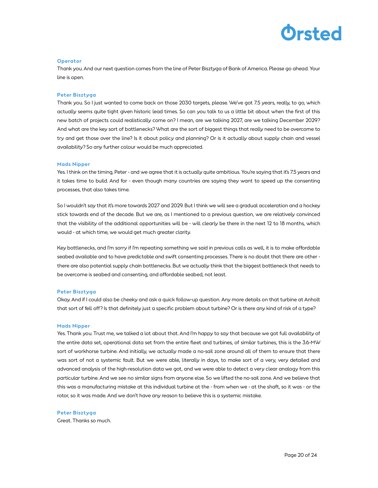

#### **Operator**

Thank you. And our next question comes from the line of Peter Bisztyga of Bank of America. Please go ahead. Your line is open.

#### Peter Bisztyga

Thank you. So I just wanted to come back on those 2030 targets, please. We've got 7.5 years, really, to go, which actually seems quite tight given historic lead times. So can you talk to us a little bit about when the first of this new batch of projects could realistically come on? I mean, are we talking 2027, are we talking December 2029? And what are the key sort of bottlenecks? What are the sort of biggest things that really need to be overcome to try and get those over the line? Is it about policy and planning? Or is it actually about supply chain and vessel availability? So any further colour would be much appreciated.

#### Mads Nipper

Yes. I think on the timing, Peter - and we agree that it is actually quite ambitious. You're saying that it's 7.5 years and it takes time to build. And for - even though many countries are saying they want to speed up the consenting processes, that also takes time.

So I wouldn't say that it's more towards 2027 and 2029. But I think we will see a gradual acceleration and a hockey stick towards end of the decade. But we are, as I mentioned to a previous question, we are relatively convinced that the visibility of the additional opportunities will be - will clearly be there in the next 12 to 18 months, which would - at which time, we would get much greater clarity.

Key bottlenecks, and I'm sorry if I'm repeating something we said in previous calls as well, it is to make affordable seabed available and to have predictable and swift consenting processes. There is no doubt that there are other there are also potential supply chain bottlenecks. But we actually think that the biggest bottleneck that needs to be overcome is seabed and consenting, and affordable seabed, not least.

#### Peter Bisztyga

Okay. And if I could also be cheeky and ask a quick follow-up question. Any more details on that turbine at Anholt that sort of fell off? Is that definitely just a specific problem about turbine? Or is there any kind of risk of a type?

#### Mads Nipper

Yes. Thank you. Trust me, we talked a lot about that. And I'm happy to say that because we got full availability of the entire data set, operational data set from the entire fleet and turbines, of similar turbines, this is the 3.6-MW sort of workhorse turbine. And initially, we actually made a no-sail zone around all of them to ensure that there was sort of not a systemic fault. But we were able, literally in days, to make sort of a very, very detailed and advanced analysis of the high-resolution data we got, and we were able to detect a very clear analogy from this particular turbine. And we see no similar signs from anyone else. So we lifted the no-sail zone. And we believe that this was a manufacturing mistake at this individual turbine at the - from when we - at the shaft, so it was - or the rotor, so it was made. And we don't have any reason to believe this is a systemic mistake.

#### Peter Bisztyga

Great. Thanks so much.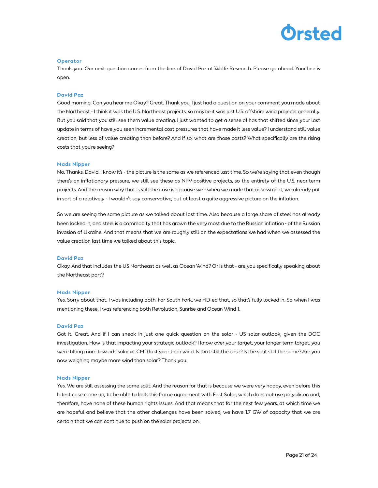## Drsted

#### **Operator**

Thank you. Our next question comes from the line of David Paz at Wolfe Research. Please go ahead. Your line is open.

#### David Paz

Good morning. Can you hear me Okay? Great. Thank you. I just had a question on your comment you made about the Northeast - I think it was the U.S. Northeast projects, so maybe it was just U.S. offshore wind projects generally. But you said that you still see them value creating. I just wanted to get a sense of has that shifted since your last update in terms of have you seen incremental cost pressures that have made it less value? I understand still value creation, but less of value creating than before? And if so, what are those costs? What specifically are the rising costs that you're seeing?

#### Mads Nipper

No. Thanks, David. I know it's - the picture is the same as we referenced last time. So we're saying that even though there's an inflationary pressure, we still see these as NPV-positive projects, so the entirety of the U.S. near-term projects. And the reason why that is still the case is because we - when we made that assessment, we already put in sort of a relatively - I wouldn't say conservative, but at least a quite aggressive picture on the inflation.

So we are seeing the same picture as we talked about last time. Also because a large share of steel has already been locked in, and steel is a commodity that has grown the very most due to the Russian inflation - of the Russian invasion of Ukraine. And that means that we are roughly still on the expectations we had when we assessed the value creation last time we talked about this topic.

#### David Paz

Okay. And that includes the US Northeast as well as Ocean Wind? Or is that - are you specifically speaking about the Northeast part?

#### Mads Nipper

Yes. Sorry about that. I was including both. For South Fork, we FID-ed that, so that's fully locked in. So when I was mentioning these, I was referencing both Revolution, Sunrise and Ocean Wind 1.

#### David Paz

Got it. Great. And if I can sneak in just one quick question on the solar - US solar outlook, given the DOC investigation. How is that impacting your strategic outlook? I know over your target, your longer-term target, you were tilting more towards solar at CMD last year than wind. Is that still the case? Is the split still the same? Are you now weighing maybe more wind than solar? Thank you.

#### Mads Nipper

Yes. We are still assessing the same split. And the reason for that is because we were very happy, even before this latest case come up, to be able to lock this frame agreement with First Solar, which does not use polysilicon and, therefore, have none of these human rights issues. And that means that for the next few years, at which time we are hopeful and believe that the other challenges have been solved, we have 1.7 GW of capacity that we are certain that we can continue to push on the solar projects on.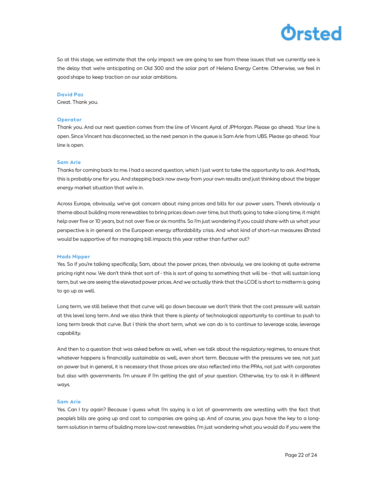

So at this stage, we estimate that the only impact we are going to see from these issues that we currently see is the delay that we're anticipating on Old 300 and the solar part of Helena Energy Centre. Otherwise, we feel in good shape to keep traction on our solar ambitions.

#### David Paz

Great. Thank you.

#### **Operator**

Thank you. And our next question comes from the line of Vincent Ayral of JPMorgan. Please go ahead. Your line is open. Since Vincent has disconnected, so the next person in the queue is Sam Arie from UBS. Please go ahead. Your line is open.

#### Sam Arie

Thanks for coming back to me. I had a second question, which I just want to take the opportunity to ask. And Mads, this is probably one for you. And stepping back now away from your own results and just thinking about the bigger energy market situation that we're in.

Across Europe, obviously, we've got concern about rising prices and bills for our power users. There's obviously a theme about building more renewables to bring prices down over time, but that's going to take a long time, it might help over five or 10 years, but not over five or six months. So I'm just wondering if you could share with us what your perspective is in general on the European energy affordability crisis. And what kind of short-run measures Ørsted would be supportive of for managing bill impacts this year rather than further out?

#### Mads Nipper

Yes. So if you're talking specifically, Sam, about the power prices, then obviously, we are looking at quite extreme pricing right now. We don't think that sort of - this is sort of going to something that will be - that will sustain long term, but we are seeing the elevated power prices. And we actually think that the LCOE is short to midterm is going to go up as well.

Long term, we still believe that that curve will go down because we don't think that the cost pressure will sustain at this level long term. And we also think that there is plenty of technological opportunity to continue to push to long term break that curve. But I think the short term, what we can do is to continue to leverage scale, leverage capability.

And then to a question that was asked before as well, when we talk about the regulatory regimes, to ensure that whatever happens is financially sustainable as well, even short term. Because with the pressures we see, not just on power but in general, it is necessary that those prices are also reflected into the PPAs, not just with corporates but also with governments. I'm unsure if I'm getting the gist of your question. Otherwise, try to ask it in different ways.

#### Sam Arie

Yes. Can I try again? Because I guess what I'm saying is a lot of governments are wrestling with the fact that people's bills are going up and cost to companies are going up. And of course, you guys have the key to a longterm solution in terms of building more low-cost renewables. I'm just wondering what you would do if you were the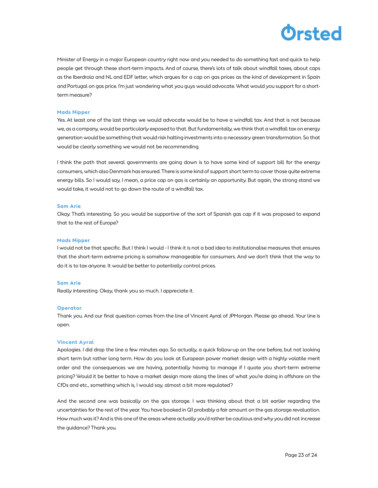

Minister of Energy in a major European country right now and you needed to do something fast and quick to help people get through these short-term impacts. And of course, there's lots of talk about windfall taxes, about caps as the Iberdrola and NL and EDF letter, which argues for a cap on gas prices as the kind of development in Spain and Portugal on gas price. I'm just wondering what you guys would advocate. What would you support for a shortterm measure?

#### Mads Nipper

Yes. At least one of the last things we would advocate would be to have a windfall tax. And that is not because we, as a company, would be particularly exposed to that. But fundamentally, we think that a windfall tax on energy generation would be something that would risk halting investments into a necessary green transformation. So that would be clearly something we would not be recommending.

I think the path that several governments are going down is to have some kind of support bill for the energy consumers, which also Denmark has ensured. There is some kind of support short term to cover those quite extreme energy bills. So I would say, I mean, a price cap on gas is certainly an opportunity. But again, the strong stand we would take, it would not to go down the route of a windfall tax.

#### Sam Arie

Okay. That's interesting. So you would be supportive of the sort of Spanish gas cap if it was proposed to expand that to the rest of Europe?

#### Mads Nipper

I would not be that specific. But I think I would - I think it is not a bad idea to institutionalise measures that ensures that the short-term extreme pricing is somehow manageable for consumers. And we don't think that the way to do it is to tax anyone. It would be better to potentially control prices.

#### Sam Arie

Really interesting. Okay, thank you so much. I appreciate it.

#### **Operator**

Thank you. And our final question comes from the line of Vincent Ayral of JPMorgan. Please go ahead. Your line is open.

#### Vincent Ayral

Apologies. I did drop the line a few minutes ago. So actually, a quick follow-up on the one before, but not looking short term but rather long term. How do you look at European power market design with a highly volatile merit order and the consequences we are having, potentially having to manage if I quote you short-term extreme pricing? Would it be better to have a market design more along the lines of what you're doing in offshore on the CfDs and etc., something which is, I would say, almost a bit more regulated?

And the second one was basically on the gas storage. I was thinking about that a bit earlier regarding the uncertainties for the rest of the year. You have booked in Q1 probably a fair amount on the gas storage revaluation. How much was it? And is this one of the areas where actually you'd rather be cautious and why you did not increase the guidance? Thank you.